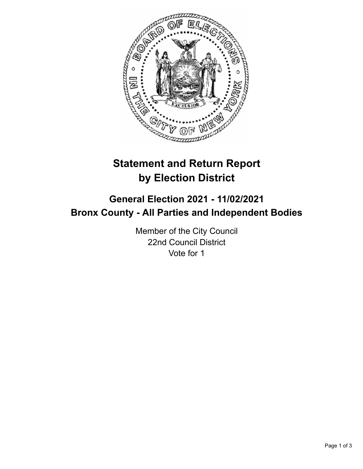

## **Statement and Return Report by Election District**

## **General Election 2021 - 11/02/2021 Bronx County - All Parties and Independent Bodies**

Member of the City Council 22nd Council District Vote for 1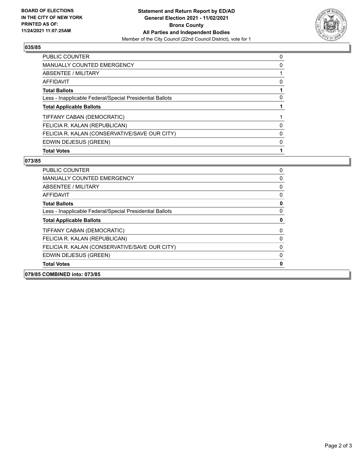

## **035/85**

| <b>PUBLIC COUNTER</b>                                    | 0 |
|----------------------------------------------------------|---|
| <b>MANUALLY COUNTED EMERGENCY</b>                        | 0 |
| ABSENTEE / MILITARY                                      |   |
| AFFIDAVIT                                                | 0 |
| <b>Total Ballots</b>                                     |   |
| Less - Inapplicable Federal/Special Presidential Ballots | 0 |
| <b>Total Applicable Ballots</b>                          |   |
| TIFFANY CABAN (DEMOCRATIC)                               |   |
| FELICIA R. KALAN (REPUBLICAN)                            | 0 |
| FELICIA R. KALAN (CONSERVATIVE/SAVE OUR CITY)            | 0 |
| EDWIN DEJESUS (GREEN)                                    | 0 |
| <b>Total Votes</b>                                       |   |

## **073/85**

| 079/85 COMBINED into: 073/85                             |          |  |
|----------------------------------------------------------|----------|--|
| <b>Total Votes</b>                                       | 0        |  |
| EDWIN DEJESUS (GREEN)                                    | 0        |  |
| FELICIA R. KALAN (CONSERVATIVE/SAVE OUR CITY)            | 0        |  |
| FELICIA R. KALAN (REPUBLICAN)                            | 0        |  |
| TIFFANY CABAN (DEMOCRATIC)                               | 0        |  |
| <b>Total Applicable Ballots</b>                          | 0        |  |
| Less - Inapplicable Federal/Special Presidential Ballots | 0        |  |
| <b>Total Ballots</b>                                     | 0        |  |
| AFFIDAVIT                                                | 0        |  |
| ABSENTEE / MILITARY                                      | 0        |  |
| <b>MANUALLY COUNTED EMERGENCY</b>                        | $\Omega$ |  |
| PUBLIC COUNTER                                           | 0        |  |